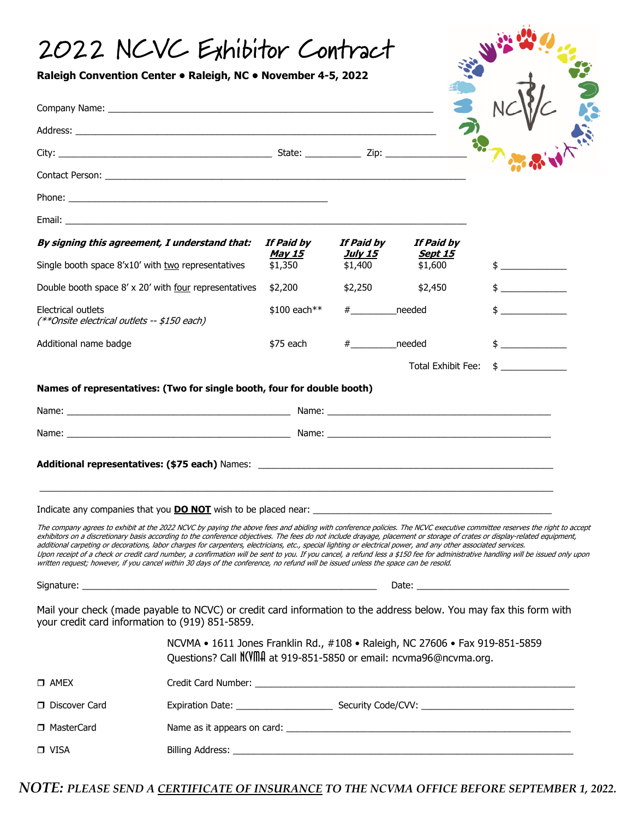## 2022 NCVC Exhibitor Contract

| By signing this agreement, I understand that:                                                                                                                                                                                                                                                                                                        |  | If Paid by<br><u>May 15</u> | If Paid by<br><u>July 15</u> | If Paid by<br><u>Sept 15</u>                                                                                                                                    |                                               |
|------------------------------------------------------------------------------------------------------------------------------------------------------------------------------------------------------------------------------------------------------------------------------------------------------------------------------------------------------|--|-----------------------------|------------------------------|-----------------------------------------------------------------------------------------------------------------------------------------------------------------|-----------------------------------------------|
| Single booth space 8'x10' with two representatives                                                                                                                                                                                                                                                                                                   |  | \$1,350                     | \$1,400                      | \$1,600                                                                                                                                                         | $\frac{1}{2}$                                 |
| Double booth space 8' x 20' with four representatives                                                                                                                                                                                                                                                                                                |  | \$2,200                     | \$2,250                      | \$2,450                                                                                                                                                         | $\frac{1}{2}$ . The contract of $\frac{1}{2}$ |
| Electrical outlets<br>(**Onsite electrical outlets -- \$150 each)                                                                                                                                                                                                                                                                                    |  | \$100 each**                | #_____________needed         |                                                                                                                                                                 | $\updownarrow$                                |
| Additional name badge                                                                                                                                                                                                                                                                                                                                |  | \$75 each                   | # needed                     |                                                                                                                                                                 | $\frac{1}{2}$                                 |
|                                                                                                                                                                                                                                                                                                                                                      |  |                             |                              | Total Exhibit Fee:                                                                                                                                              | $\frac{1}{2}$                                 |
| Names of representatives: (Two for single booth, four for double booth)                                                                                                                                                                                                                                                                              |  |                             |                              |                                                                                                                                                                 |                                               |
|                                                                                                                                                                                                                                                                                                                                                      |  |                             |                              |                                                                                                                                                                 |                                               |
|                                                                                                                                                                                                                                                                                                                                                      |  |                             |                              |                                                                                                                                                                 |                                               |
|                                                                                                                                                                                                                                                                                                                                                      |  |                             |                              |                                                                                                                                                                 |                                               |
|                                                                                                                                                                                                                                                                                                                                                      |  |                             |                              |                                                                                                                                                                 |                                               |
|                                                                                                                                                                                                                                                                                                                                                      |  |                             |                              |                                                                                                                                                                 |                                               |
| Indicate any companies that you <b>DO NOT</b> wish to be placed near:                                                                                                                                                                                                                                                                                |  |                             |                              |                                                                                                                                                                 |                                               |
| The company agrees to exhibit at the 2022 NCVC by paying the above fees and abiding with conference policies. The NCVC executive committee reserves the right to accept<br>exhibitors on a discretionary basis according to the conference objectives. The fees do not include drayage, placement or storage of crates or display-related equipment, |  |                             |                              |                                                                                                                                                                 |                                               |
|                                                                                                                                                                                                                                                                                                                                                      |  |                             |                              | additional carpeting or decorations, labor charges for carpenters, electricians, etc., special lighting or electrical power, and any other associated services. |                                               |
|                                                                                                                                                                                                                                                                                                                                                      |  |                             |                              |                                                                                                                                                                 |                                               |
| Upon receipt of a check or credit card number, a confirmation will be sent to you. If you cancel, a refund less a \$150 fee for administrative handling will be issued only upon<br>written request; however, if you cancel within 30 days of the conference, no refund will be issued unless the space can be resold.                               |  |                             |                              |                                                                                                                                                                 |                                               |
|                                                                                                                                                                                                                                                                                                                                                      |  |                             |                              |                                                                                                                                                                 |                                               |
|                                                                                                                                                                                                                                                                                                                                                      |  |                             |                              |                                                                                                                                                                 |                                               |
|                                                                                                                                                                                                                                                                                                                                                      |  |                             |                              | NCVMA • 1611 Jones Franklin Rd., #108 • Raleigh, NC 27606 • Fax 919-851-5859                                                                                    |                                               |
|                                                                                                                                                                                                                                                                                                                                                      |  |                             |                              | Ouestions? Call NOVIIIA at 919-851-5850 or email: ncvma96@ncvma.org.                                                                                            |                                               |
|                                                                                                                                                                                                                                                                                                                                                      |  |                             |                              |                                                                                                                                                                 |                                               |
| Mail your check (made payable to NCVC) or credit card information to the address below. You may fax this form with<br>your credit card information to (919) 851-5859.<br>$\square$ AMEX<br>□ Discover Card                                                                                                                                           |  |                             |                              |                                                                                                                                                                 |                                               |
| □ MasterCard                                                                                                                                                                                                                                                                                                                                         |  |                             |                              |                                                                                                                                                                 |                                               |

*NOTE: PLEASE SEND A CERTIFICATE OF INSURANCE TO THE NCVMA OFFICE BEFORE SEPTEMBER 1, 2022.*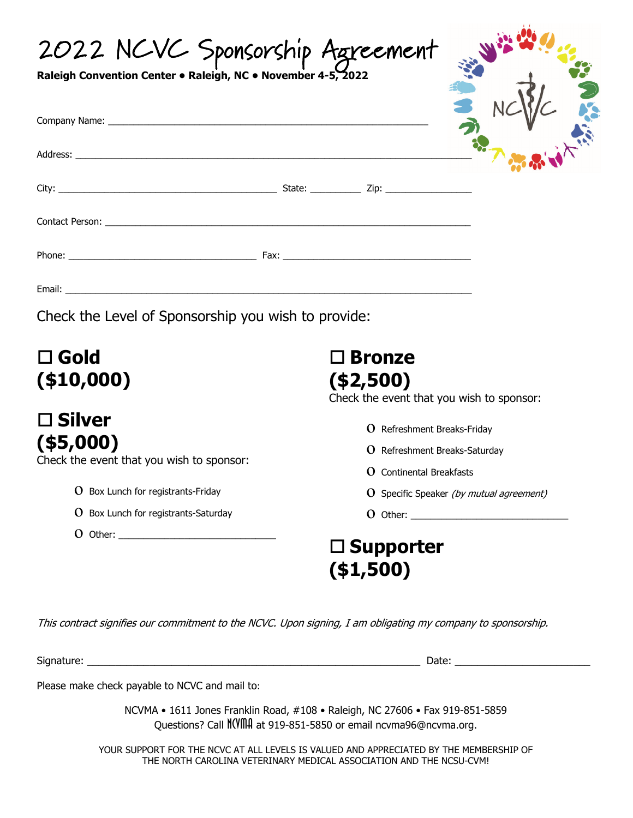| 2022 NCVC Sponsorship Agreement<br>Raleigh Convention Center . Raleigh, NC . November 4-5, |                                                                                                                                                                                       |  |  |  |
|--------------------------------------------------------------------------------------------|---------------------------------------------------------------------------------------------------------------------------------------------------------------------------------------|--|--|--|
|                                                                                            |                                                                                                                                                                                       |  |  |  |
|                                                                                            |                                                                                                                                                                                       |  |  |  |
|                                                                                            |                                                                                                                                                                                       |  |  |  |
|                                                                                            |                                                                                                                                                                                       |  |  |  |
|                                                                                            |                                                                                                                                                                                       |  |  |  |
| Check the Level of Sponsorship you wish to provide:                                        |                                                                                                                                                                                       |  |  |  |
| $\square$ Gold<br>( \$10,000)                                                              | $\square$ Bronze<br>( \$2,500)<br>Check the event that you wish to sponsor:<br><b>O</b> Refreshment Breaks-Friday<br>O Refreshment Breaks-Saturday<br><b>O</b> Continental Breakfasts |  |  |  |
|                                                                                            |                                                                                                                                                                                       |  |  |  |
| $\square$ Silver<br>$($ \$5,000)<br>Check the event that you wish to sponsor:              |                                                                                                                                                                                       |  |  |  |
| O Box Lunch for registrants-Friday                                                         | O Specific Speaker (by mutual agreement)                                                                                                                                              |  |  |  |
| $O$ Box Lunch for registrants-Saturday                                                     |                                                                                                                                                                                       |  |  |  |
| $0$ Other: $\_$                                                                            | $\square$ Supporter<br>(\$1,500)                                                                                                                                                      |  |  |  |

This contract signifies our commitment to the NCVC. Upon signing, I am obligating my company to sponsorship.

Signature: \_\_\_\_\_\_\_\_\_\_\_\_\_\_\_\_\_\_\_\_\_\_\_\_\_\_\_\_\_\_\_\_\_\_\_\_\_\_\_\_\_\_\_\_\_\_\_\_\_\_\_\_\_\_\_\_\_\_\_ Date: \_\_\_\_\_\_\_\_\_\_\_\_\_\_\_\_\_\_\_\_\_\_\_\_

Please make check payable to NCVC and mail to:

NCVMA • 1611 Jones Franklin Road, #108 • Raleigh, NC 27606 • Fax 919-851-5859 Questions? Call NCVMA at 919-851-5850 or email ncvma96@ncvma.org.

YOUR SUPPORT FOR THE NCVC AT ALL LEVELS IS VALUED AND APPRECIATED BY THE MEMBERSHIP OF THE NORTH CAROLINA VETERINARY MEDICAL ASSOCIATION AND THE NCSU-CVM!